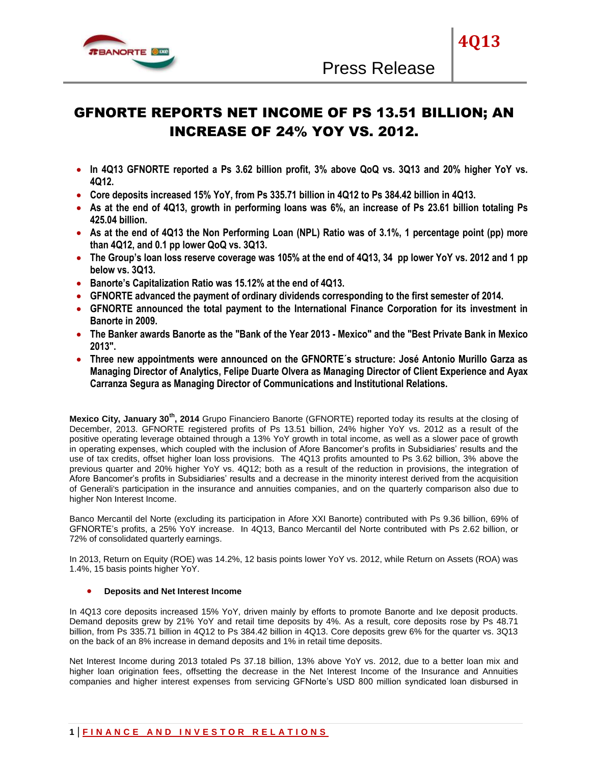

# GFNORTE REPORTS NET INCOME OF PS 13.51 BILLION; AN INCREASE OF 24% YOY VS. 2012.

- **In 4Q13 GFNORTE reported a Ps 3.62 billion profit, 3% above QoQ vs. 3Q13 and 20% higher YoY vs. 4Q12.**
- **Core deposits increased 15% YoY, from Ps 335.71 billion in 4Q12 to Ps 384.42 billion in 4Q13.**
- **As at the end of 4Q13, growth in performing loans was 6%, an increase of Ps 23.61 billion totaling Ps 425.04 billion.**
- **As at the end of 4Q13 the Non Performing Loan (NPL) Ratio was of 3.1%, 1 percentage point (pp) more than 4Q12, and 0.1 pp lower QoQ vs. 3Q13.**
- **The Group's loan loss reserve coverage was 105% at the end of 4Q13, 34 pp lower YoY vs. 2012 and 1 pp below vs. 3Q13.**
- **Banorte's Capitalization Ratio was 15.12% at the end of 4Q13.**
- **GFNORTE advanced the payment of ordinary dividends corresponding to the first semester of 2014.**
- **GFNORTE announced the total payment to the International Finance Corporation for its investment in Banorte in 2009.**
- **The Banker awards Banorte as the "Bank of the Year 2013 - Mexico" and the "Best Private Bank in Mexico 2013".**
- **Three new appointments were announced on the GFNORTE´s structure: José Antonio Murillo Garza as Managing Director of Analytics, Felipe Duarte Olvera as Managing Director of Client Experience and Ayax Carranza Segura as Managing Director of Communications and Institutional Relations.**

**Mexico City, January 30th, 2014** Grupo Financiero Banorte (GFNORTE) reported today its results at the closing of December, 2013. GFNORTE registered profits of Ps 13.51 billion, 24% higher YoY vs. 2012 as a result of the positive operating leverage obtained through a 13% YoY growth in total income, as well as a slower pace of growth in operating expenses, which coupled with the inclusion of Afore Bancomer's profits in Subsidiaries' results and the use of tax credits, offset higher loan loss provisions. The 4Q13 profits amounted to Ps 3.62 billion, 3% above the previous quarter and 20% higher YoY vs. 4Q12; both as a result of the reduction in provisions, the integration of Afore Bancomer's profits in Subsidiaries' results and a decrease in the minority interest derived from the acquisition of Generali's participation in the insurance and annuities companies, and on the quarterly comparison also due to higher Non Interest Income.

Banco Mercantil del Norte (excluding its participation in Afore XXI Banorte) contributed with Ps 9.36 billion, 69% of GFNORTE's profits, a 25% YoY increase. In 4Q13, Banco Mercantil del Norte contributed with Ps 2.62 billion, or 72% of consolidated quarterly earnings.

In 2013, Return on Equity (ROE) was 14.2%, 12 basis points lower YoY vs. 2012, while Return on Assets (ROA) was 1.4%, 15 basis points higher YoY.

# **Deposits and Net Interest Income**

In 4Q13 core deposits increased 15% YoY, driven mainly by efforts to promote Banorte and Ixe deposit products. Demand deposits grew by 21% YoY and retail time deposits by 4%. As a result, core deposits rose by Ps 48.71 billion, from Ps 335.71 billion in 4Q12 to Ps 384.42 billion in 4Q13. Core deposits grew 6% for the quarter vs. 3Q13 on the back of an 8% increase in demand deposits and 1% in retail time deposits.

Net Interest Income during 2013 totaled Ps 37.18 billion, 13% above YoY vs. 2012, due to a better loan mix and higher loan origination fees, offsetting the decrease in the Net Interest Income of the Insurance and Annuities companies and higher interest expenses from servicing GFNorte's USD 800 million syndicated loan disbursed in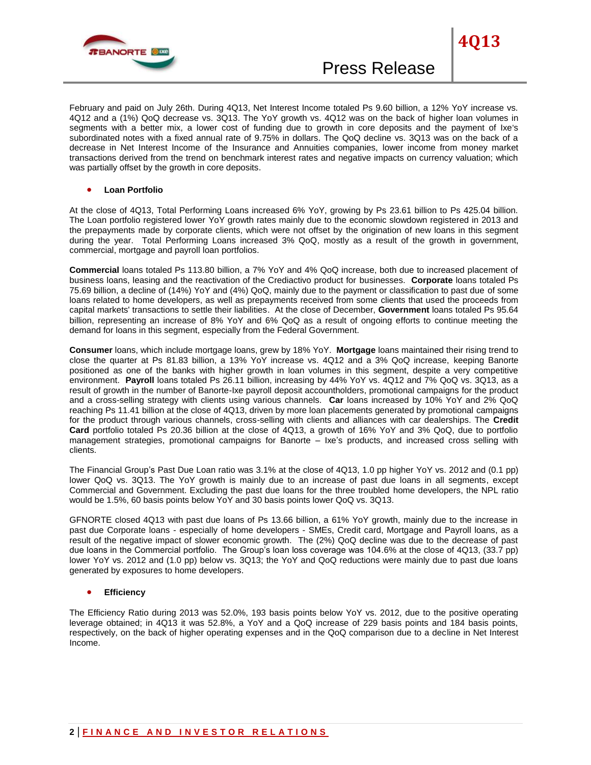

February and paid on July 26th. During 4Q13, Net Interest Income totaled Ps 9.60 billion, a 12% YoY increase vs. 4Q12 and a (1%) QoQ decrease vs. 3Q13. The YoY growth vs. 4Q12 was on the back of higher loan volumes in segments with a better mix, a lower cost of funding due to growth in core deposits and the payment of Ixe's subordinated notes with a fixed annual rate of 9.75% in dollars. The QoQ decline vs. 3Q13 was on the back of a decrease in Net Interest Income of the Insurance and Annuities companies, lower income from money market transactions derived from the trend on benchmark interest rates and negative impacts on currency valuation; which was partially offset by the growth in core deposits.

# **Loan Portfolio**

At the close of 4Q13, Total Performing Loans increased 6% YoY, growing by Ps 23.61 billion to Ps 425.04 billion. The Loan portfolio registered lower YoY growth rates mainly due to the economic slowdown registered in 2013 and the prepayments made by corporate clients, which were not offset by the origination of new loans in this segment during the year. Total Performing Loans increased 3% QoQ, mostly as a result of the growth in government, commercial, mortgage and payroll loan portfolios.

**Commercial** loans totaled Ps 113.80 billion, a 7% YoY and 4% QoQ increase, both due to increased placement of business loans, leasing and the reactivation of the Crediactivo product for businesses. **Corporate** loans totaled Ps 75.69 billion, a decline of (14%) YoY and (4%) QoQ, mainly due to the payment or classification to past due of some loans related to home developers, as well as prepayments received from some clients that used the proceeds from capital markets' transactions to settle their liabilities. At the close of December, **Government** loans totaled Ps 95.64 billion, representing an increase of 8% YoY and 6% QoQ as a result of ongoing efforts to continue meeting the demand for loans in this segment, especially from the Federal Government.

**Consumer** loans, which include mortgage loans, grew by 18% YoY. **Mortgage** loans maintained their rising trend to close the quarter at Ps 81.83 billion, a 13% YoY increase vs. 4Q12 and a 3% QoQ increase, keeping Banorte positioned as one of the banks with higher growth in loan volumes in this segment, despite a very competitive environment. **Payroll** loans totaled Ps 26.11 billion, increasing by 44% YoY vs. 4Q12 and 7% QoQ vs. 3Q13, as a result of growth in the number of Banorte-Ixe payroll deposit accountholders, promotional campaigns for the product and a cross-selling strategy with clients using various channels. **Car** loans increased by 10% YoY and 2% QoQ reaching Ps 11.41 billion at the close of 4Q13, driven by more loan placements generated by promotional campaigns for the product through various channels, cross-selling with clients and alliances with car dealerships. The **Credit Card** portfolio totaled Ps 20.36 billion at the close of 4Q13, a growth of 16% YoY and 3% QoQ, due to portfolio management strategies, promotional campaigns for Banorte – Ixe's products, and increased cross selling with clients.

The Financial Group's Past Due Loan ratio was 3.1% at the close of 4Q13, 1.0 pp higher YoY vs. 2012 and (0.1 pp) lower QoQ vs. 3Q13. The YoY growth is mainly due to an increase of past due loans in all segments, except Commercial and Government. Excluding the past due loans for the three troubled home developers, the NPL ratio would be 1.5%, 60 basis points below YoY and 30 basis points lower QoQ vs. 3Q13.

GFNORTE closed 4Q13 with past due loans of Ps 13.66 billion, a 61% YoY growth, mainly due to the increase in past due Corporate loans - especially of home developers - SMEs, Credit card, Mortgage and Payroll loans, as a result of the negative impact of slower economic growth. The (2%) QoQ decline was due to the decrease of past due loans in the Commercial portfolio. The Group's loan loss coverage was 104.6% at the close of 4Q13, (33.7 pp) lower YoY vs. 2012 and (1.0 pp) below vs. 3Q13; the YoY and QoQ reductions were mainly due to past due loans generated by exposures to home developers.

#### **Efficiency**

The Efficiency Ratio during 2013 was 52.0%, 193 basis points below YoY vs. 2012, due to the positive operating leverage obtained; in 4Q13 it was 52.8%, a YoY and a QoQ increase of 229 basis points and 184 basis points, respectively, on the back of higher operating expenses and in the QoQ comparison due to a decline in Net Interest Income.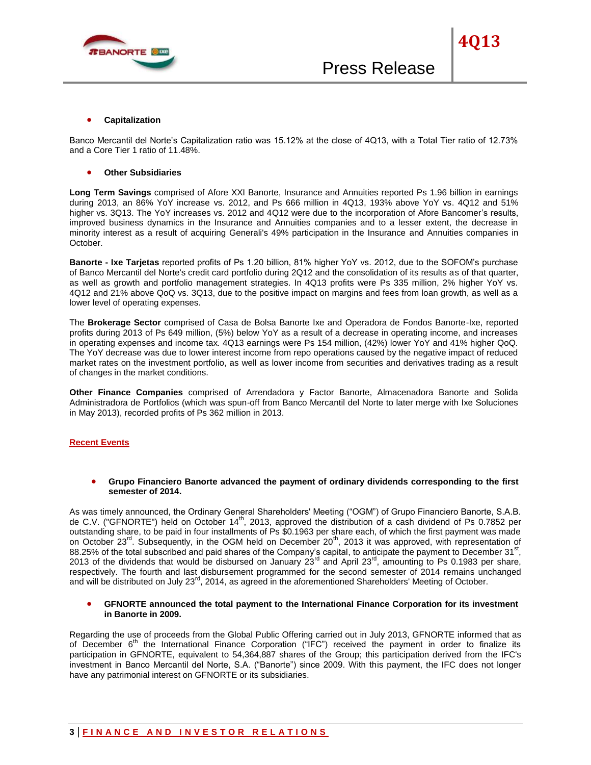

Banco Mercantil del Norte's Capitalization ratio was 15.12% at the close of 4Q13, with a Total Tier ratio of 12.73% and a Core Tier 1 ratio of 11.48%.

#### **Other Subsidiaries**

**Long Term Savings** comprised of Afore XXI Banorte, Insurance and Annuities reported Ps 1.96 billion in earnings during 2013, an 86% YoY increase vs. 2012, and Ps 666 million in 4Q13, 193% above YoY vs. 4Q12 and 51% higher vs. 3Q13. The YoY increases vs. 2012 and 4Q12 were due to the incorporation of Afore Bancomer's results, improved business dynamics in the Insurance and Annuities companies and to a lesser extent, the decrease in minority interest as a result of acquiring Generali's 49% participation in the Insurance and Annuities companies in October.

**Banorte - Ixe Tarjetas** reported profits of Ps 1.20 billion, 81% higher YoY vs. 2012, due to the SOFOM's purchase of Banco Mercantil del Norte's credit card portfolio during 2Q12 and the consolidation of its results as of that quarter, as well as growth and portfolio management strategies. In 4Q13 profits were Ps 335 million, 2% higher YoY vs. 4Q12 and 21% above QoQ vs. 3Q13, due to the positive impact on margins and fees from loan growth, as well as a lower level of operating expenses.

The **Brokerage Sector** comprised of Casa de Bolsa Banorte Ixe and Operadora de Fondos Banorte-Ixe, reported profits during 2013 of Ps 649 million, (5%) below YoY as a result of a decrease in operating income, and increases in operating expenses and income tax. 4Q13 earnings were Ps 154 million, (42%) lower YoY and 41% higher QoQ. The YoY decrease was due to lower interest income from repo operations caused by the negative impact of reduced market rates on the investment portfolio, as well as lower income from securities and derivatives trading as a result of changes in the market conditions.

**Other Finance Companies** comprised of Arrendadora y Factor Banorte, Almacenadora Banorte and Solida Administradora de Portfolios (which was spun-off from Banco Mercantil del Norte to later merge with Ixe Soluciones in May 2013), recorded profits of Ps 362 million in 2013.

#### **Recent Events**

 **Grupo Financiero Banorte advanced the payment of ordinary dividends corresponding to the first semester of 2014.**

As was timely announced, the Ordinary General Shareholders' Meeting ("OGM") of Grupo Financiero Banorte, S.A.B. de C.V. ("GFNORTE") held on October 14<sup>th</sup>, 2013, approved the distribution of a cash dividend of Ps 0.7852 per outstanding share, to be paid in four installments of Ps \$0.1963 per share each, of which the first payment was made on October 23<sup>rd</sup>. Subsequently, in the OGM held on December 20<sup>th</sup>, 2013 it was approved, with representation of 88.25% of the total subscribed and paid shares of the Company's capital, to anticipate the payment to December  $31^{st}$ , 2013 of the dividends that would be disbursed on January  $23^{rd}$  and April  $23^{rd}$ , amounting to Ps 0.1983 per share, respectively. The fourth and last disbursement programmed for the second semester of 2014 remains unchanged and will be distributed on July 23<sup>rd</sup>, 2014, as agreed in the aforementioned Shareholders' Meeting of October.

## **GFNORTE announced the total payment to the International Finance Corporation for its investment in Banorte in 2009.**

Regarding the use of proceeds from the Global Public Offering carried out in July 2013, GFNORTE informed that as of December  $6<sup>th</sup>$  the International Finance Corporation ("IFC") received the payment in order to finalize its participation in GFNORTE, equivalent to 54,364,887 shares of the Group; this participation derived from the IFC's investment in Banco Mercantil del Norte, S.A. ("Banorte") since 2009. With this payment, the IFC does not longer have any patrimonial interest on GFNORTE or its subsidiaries.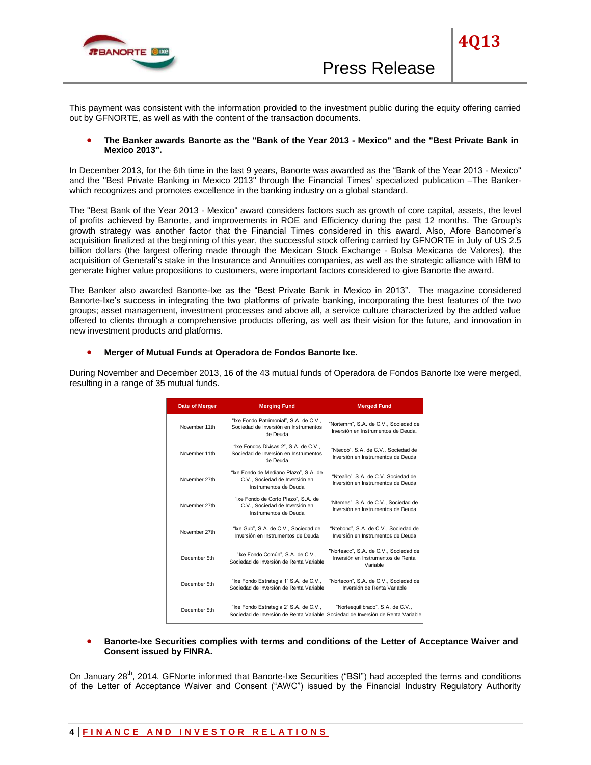

This payment was consistent with the information provided to the investment public during the equity offering carried out by GFNORTE, as well as with the content of the transaction documents.

## **The Banker awards Banorte as the "Bank of the Year 2013 - Mexico" and the "Best Private Bank in Mexico 2013".**

In December 2013, for the 6th time in the last 9 years, Banorte was awarded as the "Bank of the Year 2013 - Mexico" and the "Best Private Banking in Mexico 2013" through the Financial Times' specialized publication –The Bankerwhich recognizes and promotes excellence in the banking industry on a global standard.

The "Best Bank of the Year 2013 - Mexico" award considers factors such as growth of core capital, assets, the level of profits achieved by Banorte, and improvements in ROE and Efficiency during the past 12 months. The Group's growth strategy was another factor that the Financial Times considered in this award. Also, Afore Bancomer's acquisition finalized at the beginning of this year, the successful stock offering carried by GFNORTE in July of US 2.5 billion dollars (the largest offering made through the Mexican Stock Exchange - Bolsa Mexicana de Valores), the acquisition of Generali's stake in the Insurance and Annuities companies, as well as the strategic alliance with IBM to generate higher value propositions to customers, were important factors considered to give Banorte the award.

The Banker also awarded Banorte-Ixe as the "Best Private Bank in Mexico in 2013". The magazine considered Banorte-Ixe's success in integrating the two platforms of private banking, incorporating the best features of the two groups; asset management, investment processes and above all, a service culture characterized by the added value offered to clients through a comprehensive products offering, as well as their vision for the future, and innovation in new investment products and platforms.

## **Merger of Mutual Funds at Operadora de Fondos Banorte Ixe.**

During November and December 2013, 16 of the 43 mutual funds of Operadora de Fondos Banorte Ixe were merged, resulting in a range of 35 mutual funds.

| Date of Merger | <b>Merging Fund</b>                                                                                                       | <b>Merged Fund</b>                                                                      |
|----------------|---------------------------------------------------------------------------------------------------------------------------|-----------------------------------------------------------------------------------------|
| November 11th  | "Ixe Fondo Patrimonial", S.A. de C.V.,<br>Sociedad de Inversión en Instrumentos<br>de Deuda                               | "Nortemm", S.A. de C.V., Sociedad de<br>Inversión en Instrumentos de Deuda.             |
| November 11th  | "Ixe Fondos Divisas 2", S.A. de C.V.,<br>Sociedad de Inversión en Instrumentos<br>de Deuda                                | "Ntecob", S.A. de C.V., Sociedad de<br>Inversión en Instrumentos de Deuda               |
| November 27th  | "Ixe Fondo de Mediano Plazo", S.A. de<br>C.V., Sociedad de Inversión en<br>Instrumentos de Deuda                          | "Nteaño", S.A. de C.V. Sociedad de<br>Inversión en Instrumentos de Deuda                |
| November 27th  | "Ixe Fondo de Corto Plazo", S.A. de<br>C.V., Sociedad de Inversión en<br>Instrumentos de Deuda                            | "Ntemes", S.A. de C.V., Sociedad de<br>Inversión en Instrumentos de Deuda               |
| November 27th  | "Ixe Gub", S.A. de C.V., Sociedad de<br>Inversión en Instrumentos de Deuda                                                | "Ntebono", S.A. de C.V., Sociedad de<br>Inversión en Instrumentos de Deuda              |
| December 5th   | "Ixe Fondo Común", S.A. de C.V.,<br>Sociedad de Inversión de Renta Variable                                               | "Norteacc", S.A. de C.V., Sociedad de<br>Inversión en Instrumentos de Renta<br>Variable |
| December 5th   | "Ixe Fondo Estrategia 1" S.A. de C.V.,<br>Sociedad de Inversión de Renta Variable                                         | "Nortecon", S.A. de C.V., Sociedad de<br>Inversión de Renta Variable                    |
| December 5th   | "Ixe Fondo Estrategia 2" S.A. de C.V.,<br>Sociedad de Inversión de Renta Variable Sociedad de Inversión de Renta Variable | "Norteequilibrado", S.A. de C.V.,                                                       |

 **Banorte-Ixe Securities complies with terms and conditions of the Letter of Acceptance Waiver and Consent issued by FINRA.**

On January 28<sup>th</sup>, 2014. GFNorte informed that Banorte-Ixe Securities ("BSI") had accepted the terms and conditions of the Letter of Acceptance Waiver and Consent ("AWC") issued by the Financial Industry Regulatory Authority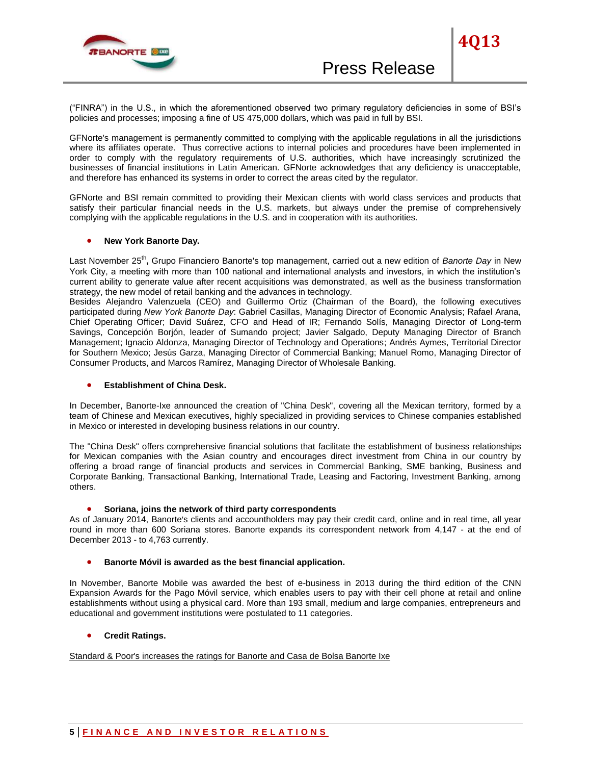

("FINRA") in the U.S., in which the aforementioned observed two primary regulatory deficiencies in some of BSI's policies and processes; imposing a fine of US 475,000 dollars, which was paid in full by BSI.

GFNorte's management is permanently committed to complying with the applicable regulations in all the jurisdictions where its affiliates operate. Thus corrective actions to internal policies and procedures have been implemented in order to comply with the regulatory requirements of U.S. authorities, which have increasingly scrutinized the businesses of financial institutions in Latin American. GFNorte acknowledges that any deficiency is unacceptable, and therefore has enhanced its systems in order to correct the areas cited by the regulator.

GFNorte and BSI remain committed to providing their Mexican clients with world class services and products that satisfy their particular financial needs in the U.S. markets, but always under the premise of comprehensively complying with the applicable regulations in the U.S. and in cooperation with its authorities.

# **New York Banorte Day.**

Last November 25<sup>th</sup>, Grupo Financiero Banorte's top management, carried out a new edition of *Banorte Day* in New York City, a meeting with more than 100 national and international analysts and investors, in which the institution's current ability to generate value after recent acquisitions was demonstrated, as well as the business transformation strategy, the new model of retail banking and the advances in technology.

Besides Alejandro Valenzuela (CEO) and Guillermo Ortiz (Chairman of the Board), the following executives participated during *New York Banorte Day*: Gabriel Casillas, Managing Director of Economic Analysis; Rafael Arana, Chief Operating Officer; David Suárez, CFO and Head of IR; Fernando Solís, Managing Director of Long-term Savings, Concepción Borjón, leader of Sumando project; Javier Salgado, Deputy Managing Director of Branch Management; Ignacio Aldonza, Managing Director of Technology and Operations; Andrés Aymes, Territorial Director for Southern Mexico; Jesús Garza, Managing Director of Commercial Banking; Manuel Romo, Managing Director of Consumer Products, and Marcos Ramírez, Managing Director of Wholesale Banking.

#### **Establishment of China Desk.**

In December, Banorte-Ixe announced the creation of "China Desk", covering all the Mexican territory, formed by a team of Chinese and Mexican executives, highly specialized in providing services to Chinese companies established in Mexico or interested in developing business relations in our country.

The "China Desk" offers comprehensive financial solutions that facilitate the establishment of business relationships for Mexican companies with the Asian country and encourages direct investment from China in our country by offering a broad range of financial products and services in Commercial Banking, SME banking, Business and Corporate Banking, Transactional Banking, International Trade, Leasing and Factoring, Investment Banking, among others.

#### **Soriana, joins the network of third party correspondents**

As of January 2014, Banorte's clients and accountholders may pay their credit card, online and in real time, all year round in more than 600 Soriana stores. Banorte expands its correspondent network from 4,147 - at the end of December 2013 - to 4,763 currently.

# **Banorte Móvil is awarded as the best financial application.**

In November, Banorte Mobile was awarded the best of e-business in 2013 during the third edition of the CNN Expansion Awards for the Pago Móvil service, which enables users to pay with their cell phone at retail and online establishments without using a physical card. More than 193 small, medium and large companies, entrepreneurs and educational and government institutions were postulated to 11 categories.

# **Credit Ratings.**

Standard & Poor's increases the ratings for Banorte and Casa de Bolsa Banorte Ixe